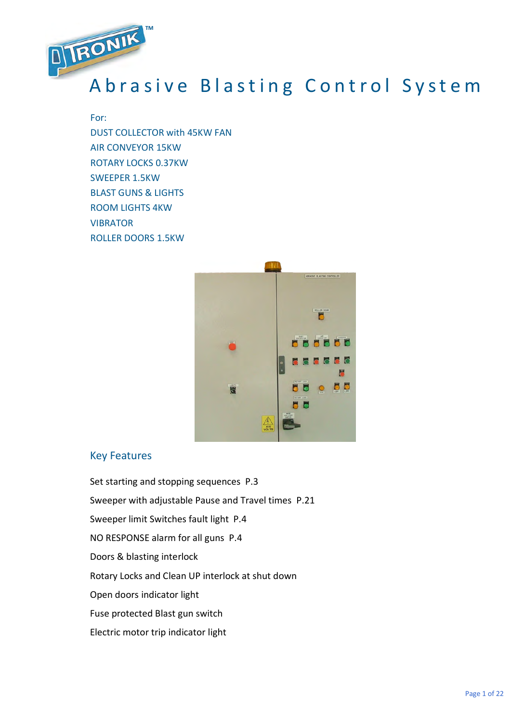

# A brasive Blasting Control System

### For:

DUST COLLECTOR with 45KW FAN AIR CONVEYOR 15KW ROTARY LOCKS 0.37KW SWEEPER 1.5KW BLAST GUNS & LIGHTS ROOM LIGHTS 4KW **VIBRATOR** ROLLER DOORS 1.5KW



## Key Features

Set starting and stopping sequences P.3 Sweeper with adjustable Pause and Travel times P.21 Sweeper limit Switches fault light P.4 NO RESPONSE alarm for all guns P.4 Doors & blasting interlock Rotary Locks and Clean UP interlock at shut down Open doors indicator light Fuse protected Blast gun switch Electric motor trip indicator light